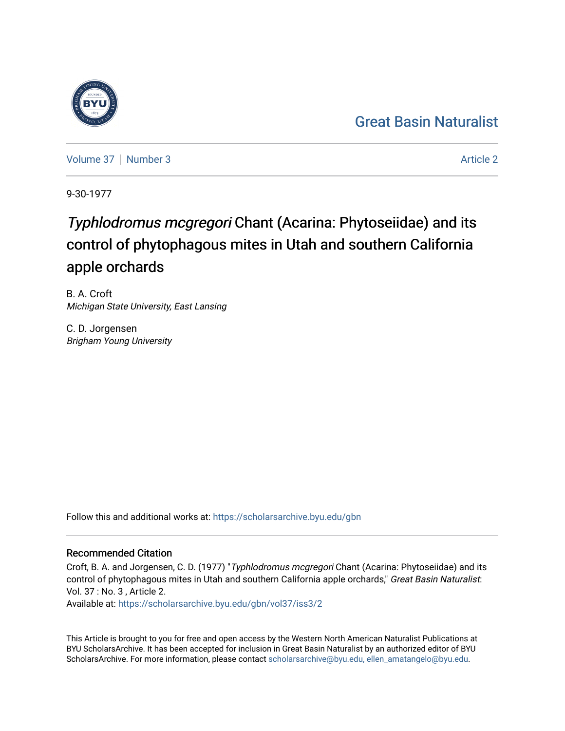## [Great Basin Naturalist](https://scholarsarchive.byu.edu/gbn)

[Volume 37](https://scholarsarchive.byu.edu/gbn/vol37) | [Number 3](https://scholarsarchive.byu.edu/gbn/vol37/iss3) [Article 2](https://scholarsarchive.byu.edu/gbn/vol37/iss3/2) Article 2

9-30-1977

# Typhlodromus mcgregori Chant (Acarina: Phytoseiidae) and its control of phytophagous mites in Utah and southern California apple orchards

B. A. Croft Michigan State University, East Lansing

C. D. Jorgensen Brigham Young University

Follow this and additional works at: [https://scholarsarchive.byu.edu/gbn](https://scholarsarchive.byu.edu/gbn?utm_source=scholarsarchive.byu.edu%2Fgbn%2Fvol37%2Fiss3%2F2&utm_medium=PDF&utm_campaign=PDFCoverPages) 

### Recommended Citation

Croft, B. A. and Jorgensen, C. D. (1977) "Typhlodromus mcgregori Chant (Acarina: Phytoseiidae) and its control of phytophagous mites in Utah and southern California apple orchards," Great Basin Naturalist: Vol. 37 : No. 3 , Article 2.

Available at: [https://scholarsarchive.byu.edu/gbn/vol37/iss3/2](https://scholarsarchive.byu.edu/gbn/vol37/iss3/2?utm_source=scholarsarchive.byu.edu%2Fgbn%2Fvol37%2Fiss3%2F2&utm_medium=PDF&utm_campaign=PDFCoverPages)

This Article is brought to you for free and open access by the Western North American Naturalist Publications at BYU ScholarsArchive. It has been accepted for inclusion in Great Basin Naturalist by an authorized editor of BYU ScholarsArchive. For more information, please contact [scholarsarchive@byu.edu, ellen\\_amatangelo@byu.edu.](mailto:scholarsarchive@byu.edu,%20ellen_amatangelo@byu.edu)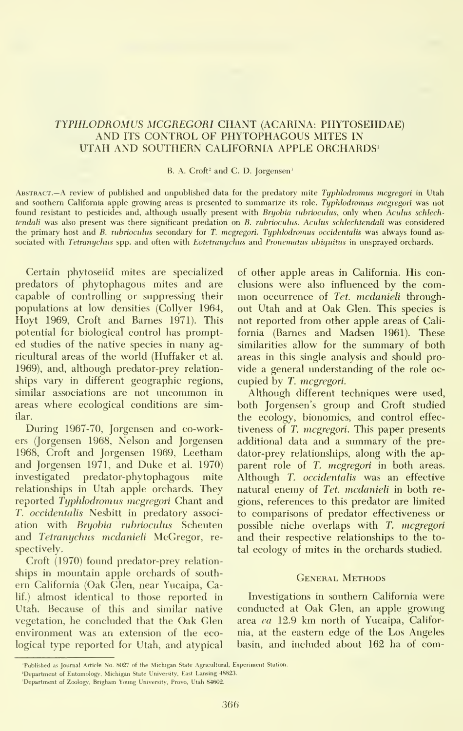## TYPHLODROMUS MCGREGORI CHANT (ACARINA: PHYTOSEIIDAE) UTAH AND SOUTHERN CALIFORNIA APPLE ORCHARDS<sup>1</sup>

#### B. A. Croft<sup>2</sup> and C. D. Jorgensen<sup>3</sup>

Abstract.—A review of published and unpublished data for the predatory mite Typhlodromus mcgregori in Utah and southern California apple growing areas is presented to summarize its role. Typhlodromus mcgregori was not found resistant to pesticides and, although usually present with Bryobia rubrioculus, only when Aculus schlechtendali was also present was there significant predation on B. rubrioculus. Aculus schlechtendali was considered the primary host and B. rubrioculus secondary for T. mcgregori. Typhlodromus occidentalis was always found associated with Tetranychus spp. and often with Eotetranychus and Pronematus ubiquitus in unsprayed orchards.

Certain phytoseiid mites are specialized predators of phytophagous mites and are capable of controlling or suppressing their populations at low densities (Collyer 1964, Hoyt 1969, Croft and Barnes 1971). This potential for biological control has prompted studies of the native species in many agricultural areas of the world (Huffaker et al. 1969), and, although predator-prey relation ships vary in different geographic regions, similar associations are not uncommon in areas where ecological conditions are similar.

During 1967-70, Jorgensen and co-workers (Jorgensen 1968, Nelson and Jorgensen 1968, Croft and Jorgensen 1969, Leetham and Jorgensen 1971, and Duke et al. 1970) investigated predator-phytophagous mite relationships in Utah apple orchards. They reported Typhlodromus mcgregori Chant and T. occidentalis Nesbitt in predatory associ ation with Bryobia rubrioculus Scheuten and Tetranychus mcdanieli McGregor, re spectively.

Croft (1970) found predator-prey relation ships in mountain apple orchards of south ern California (Oak Glen, near Yucaipa, Calif.) almost identical to those reported in Utah. Because of this and similar native vegetation, he concluded that the Oak Glen environment was an extension of the ecological type reported for Utah, and atypical

of other apple areas in California. His conclusions were also influenced by the com mon occurrence of Tet. mcdanieli throughout Utah and at Oak Glen. This species is not reported from other apple areas of Cali fornia (Barnes and Madsen 1961). These similarities allow for the summary of both areas in this single analysis and should pro vide a general understanding of the role oc cupied by T. mcgregori.

Although different techniques were used, both Jorgensen's group and Croft studied the ecology, bionomics, and control effec tiveness of T. mcgregori. This paper presents additional data and a summary of the pre dator-prey relationships, along with the ap parent role of T. mcgregori in both areas. Although T. occidentalis was an effective natural enemy of Tet. mcdanieli in both regions, references to this predator are limited to comparisons of predator effectiveness or possible niche overlaps with T. mcgregori and their respective relationships to the total ecology of mites in the orchards studied.

#### General Methods

Investigations in southern California were conducted at Oak Glen, an apple growing area ca 12.9 km north of Yucaipa, California, at the eastern edge of the Los Angeles basin, and included about 162 ha of com-

Published as Journal Article No. 8027 of the Michigan State Agricultural, Experiment Station

Department of Entomology. Michigan State University, East Lansing 48823.

<sup>&#</sup>x27;Department of Zoology, Brigham Young University, Provo, Utah 84602.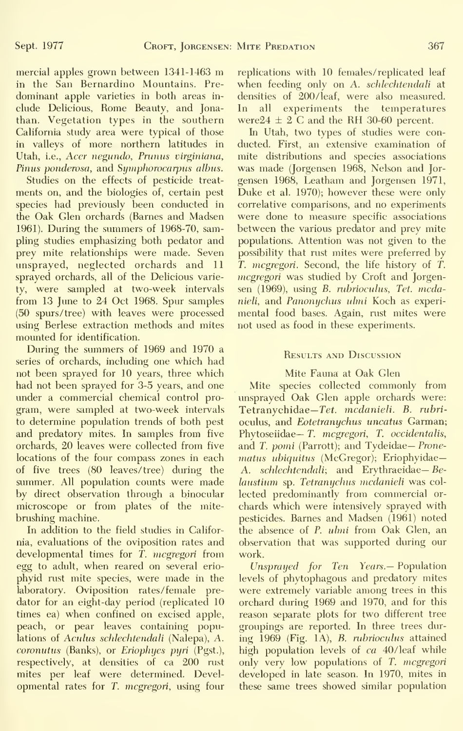mercial apples grown between 1341-1463 m in the San Bernardino Mountains. Pre dominant apple varieties in both areas in clude Delicious, Rome Beauty, and Jonathan. Vegetation types in the southern California study area were typical of those in valleys of more northern latitudes in Utah, i.e., Acer negundo. Primus virginiana, Pinus ponderosa, and Symphorocarpus albus.

Studies on the effects of pesticide treat ments on, and the biologies of, certain pest species had previously been conducted in the Oak Glen orchards (Barnes and Madsen 1961). During the summers of 1968-70, sampling studies emphasizing both pedator and prey mite relationships were made. Seven unsprayed, neglected orchards and 11 sprayed orchards, all of the Delicious variety, were sampled at two-week intervals from 13 June to 24 Oct 1968. Spur samples (50 spurs/ tree) with leaves were processed using Berlese extraction methods and mites mounted for identification.

During the summers of 1969 and 1970 a series of orchards, including one which had not been sprayed for 10 years, three which had not been sprayed for 3-5 years, and one under a commercial chemical control pro gram, were sampled at two-week intervals to determine population trends of both pest and predatory mites. In samples from five orchards, 20 leaves were collected from five locations of the four compass zones in each of five trees (80 leaves/tree) during the summer. All population counts were made by direct observation through a binocular microscope or from plates of the mite brushing machine.

In addition to the field studies in California, evaluations of the oviposition rates and developmental times for  $\overline{T}$ . mcgregori from egg to adult, when reared on several erio phyid rust mite species, were made in the laboratory. Oviposition rates/female pre dator for an eight-day period (replicated 10 times ea) when confined on excised apple, peach, or pear leaves containing populations of Aculus schlechtendali (Nalepa), A. coronutus (Banks), or Eriophyes pyri (Pgst.), respectively, at densities of ca 200 rust mites per leaf were determined. Devel opmental rates for T. mcgregori, using four

replications with 10 females/ replicated leaf when feeding only on A. schlechtendali at densities of 200/leaf, were also measured. In all experiments the temperatures were  $24 \pm 2$  C and the RH 30-60 percent.

In Utah, two types of studies were conducted. First, an extensive examination of mite distributions and species associations was made (Jorgensen 1968, Nelson and Jor gensen 1968, Leatham and Jorgensen 1971, Duke et al. 1970); however these were only correlative comparisons, and no experiments were done to measure specific associations between the various predator and prey mite populations. Attention was not given to the possibility that rust mites were preferred by T. mcgregori. Second, the life history of T. mcgregori was studied by Croft and Jorgensen (1969), using B. rubrioculus, Tet. mcdanieli, and Panonychus ulmi Koch as experi mental food bases. Again, rust mites were not used as food in these experiments.

#### Results and Discussion

#### Mite Fauna at Oak Glen

Mite species collected commonly from unsprayed Oak Glen apple orchards were: Tetranychidae— Tef. mcdanieli. B. rubrioculus, and Eotetranychus uncatus Garman; Phytoseiidae— T. mcgregori, T. occidentalis, and T. pomi (Parrott); and Tydeidae— Prone matus ubiquitus (McGregor); Eriophyidae-A. schlechtendali; and Erythraeidae— Be laustium sp. Tetranychus mcdanieli was col lected predominantly from commercial or chards which were intensively sprayed with pesticides. Barnes and Madsen (1961) noted the absence of P. ulmi from Oak Glen, an observation that was supported during our work.

Unsprayed for Ten Years.— Population levels of phytophagous and predatory mites were extremely variable among trees in this orchard during 1969 and 1970, and for this reason separate plots for two different tree groupings are reported. In three trees during 1969 (Fig. lA), B. rubrioculus attained high population levels of ca 40/leaf while only very low populations of T. mcgregori developed in late season. In 1970, mites in these same trees showed similar population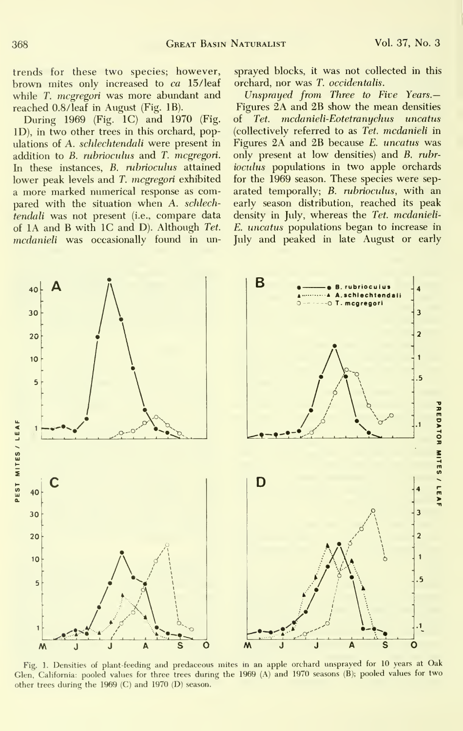trends for these two species; however, brown mites only increased to ca 15/leaf while *T. mcgregori* was more abundant and reached 0.8/leaf in August (Fig. IB).

During 1969 (Fig. IC) and 1970 (Fig. ID), in two other trees in this orchard, populations of A. schlechtendali were present in addition to B. rubrioculus and T. mcgregori. In these instances, B. rubrioculus attained lower peak levels and T. mcgregori exhibited a more marked numerical response as compared with the situation when A. schlechtendali was not present (i.e., compare data of lA and B with IC and D). Although Tet. mcdanieli was occasionally found in unsprayed blocks, it was not collected in this orchard, nor was T. occidentalis.

Unsprayed from Three to Five Years.— Figures 2A and 2B show the mean densities of Tet. mcdanieli-Eotetramjchus uncatus (collectively referred to as Tet. mcdanieli in Figures 2A and 2B because E. uncatus was only present at low densities) and B. rubr ioculus populations in two apple orchards for the 1969 season. These species were sep arated temporally; B. rubrioculus, with an early season distribution, reached its peak density in July, whereas the Tet. mcdanieli-E. uncatus populations began to increase in July and peaked in late August or early



Fig. 1. Densities of plant-feeding and predaceous mites in an apple orchard unsprayed for 10 years at Oak Glen, California: pooled values for three trees during the 1969 (A) and 1970 seasons (B); pooled values for two other trees during the 1969 (C) and 1970 (D) season.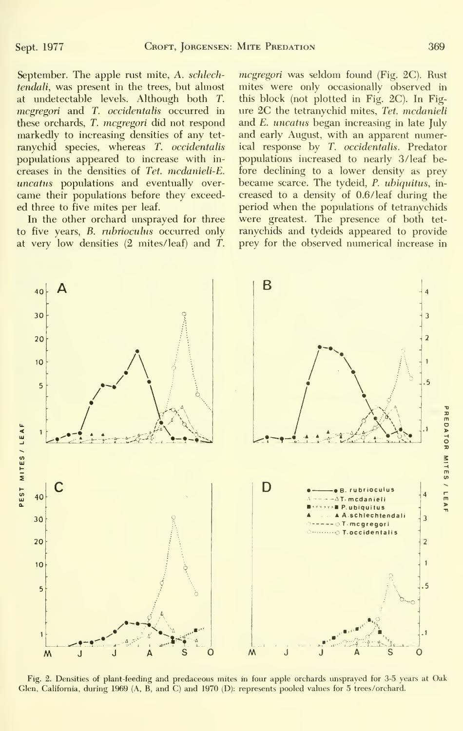September. The apple rust mite, A. schlechtendali, was present in the trees, but almost at undetectable levels. Although both T. mcgregori and T. occidentalis occurred in these orchards, T. mcgregori did not respond markedly to increasing densities of any tet ranychid species, whereas T. occidentalis populations appeared to increase with in creases in the densities of Tet. mcdanieli-E. uncatus populations and eventually over came their populations before they exceed ed three to five mites per leaf.

In the other orchard unsprayed for three to five years, B. rubrioculus occurred only at very low densities  $(2 \text{ mites/leaf})$  and  $T$ . mcgregori was seldom found (Fig. 2C). Rust mites were only occasionally observed in this block (not plotted in Fig. 2C). In Fig ure 2C the tetranychid mites, Tet. mcdanieli and E. uncatus began increasing in late July and early August, with an apparent numerical response by T. occidentalis. Predator populations increased to nearly 3/leaf before declining to a lower density as prey became scarce. The tydeid, P. ubiquitus, in creased to a density of 0.6/ leaf during the period when the populations of tetranychids were greatest. The presence of both tet ranychids and tydeids appeared to provide prey for the observed numerical increase in



Fig. 2. Densities of plant-feeding and predaceous mites in four apple orchards unsprayed for 3-5 years at Oak Glen, California, during 1969 (A, B, and C) and 1970 (D): represents pooled values for 5 trees/orchard.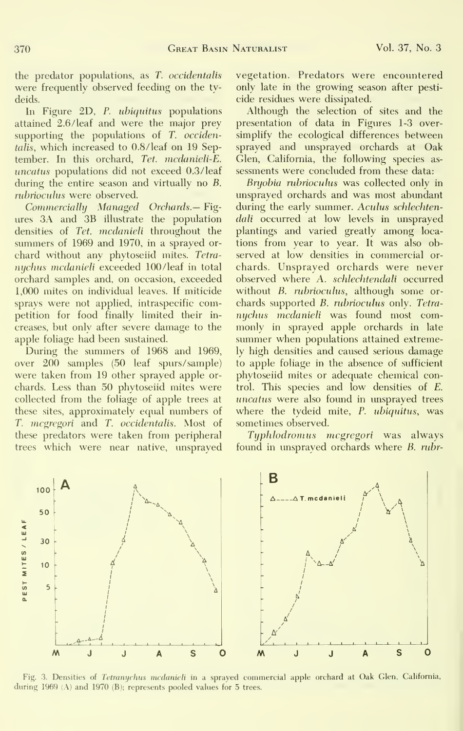the predator populations, as T. occidentalis were frequently observed feeding on the ty deids.

In Figure 2D, P. ubiquitus populations attained 2.6/ leaf and were the major prey supporting the populations of  $T.$  occidentalis, which increased to 0.8/leaf on 19 September. In this orchard, Tet. mcdanieli-E. uncatus populations did not exceed 0.3/leaf during the entire season and virtually no B. rubriocuhis were observed.

Commercially Managed Orchards.— Fig ures 3A and 3B illustrate the population densities of Tet. mcdanieli throughout the summers of 1969 and 1970, in a sprayed or chard without any phytoseiid mites. Tetra nychus mcdanieli exceeded 100/leaf in total orchard samples and, on occasion, exceeded 1,000 mites on individual leaves. If miticide sprays were not applied, intraspecific competition for food finally limited their in creases, but only after severe damage to the apple foliage had been sustained.

During the summers of 1968 and 1969, over 200 samples (50 leaf spurs/sample) were taken from 19 other sprayed apple or chards. Less than 50 phytoseiid mites were collected from the foliage of apple trees at these sites, approximately equal numbers of T. mcgregori and T. occidentalis. Most of these predators were taken from peripheral trees which were near native, unsprayed vegetation. Predators were encountered only late in the growing season after pesti cide residues were dissipated.

Although the selection of sites and the presentation of data in Figures 1-3 oversimplify the ecological differences between sprayed and unsprayed orchards at Oak Glen, California, the following species as sessments were concluded from these data:

Bryohia nibriocidus was collected only in unsprayed orchards and was most abimdant during the early summer. Aculus schlechtendali occurred at low levels in unsprayed plantings and varied greatly among locations from year to year. It was also ob served at low densities in commercial or chards. Unsprayed orchards were never observed where A. schlechtendali occurred without B. rubrioculus, although some orchards supported B. rubrioculus only. Tetranychus mcdanieli was found most commonly in sprayed apple orchards in late summer when populations attained extremely high densities and caused serious damage to apple foliage in the absence of sufficient phytoseiid mites or adequate chemical control. This species and low densities of E. uncatus were also found in unsprayed trees where the tydeid mite, P. ubiquitus, was sometimes observed.

Typhlodromus mcgregori was always found in unsprayed orchards where B. rubr-



Fig. 3. Densities of Tetranychus medanieli in a sprayed commercial apple orchard at Oak Glen, California, during 1969 (A) and 1970 (B); represents pooled values for 5 trees.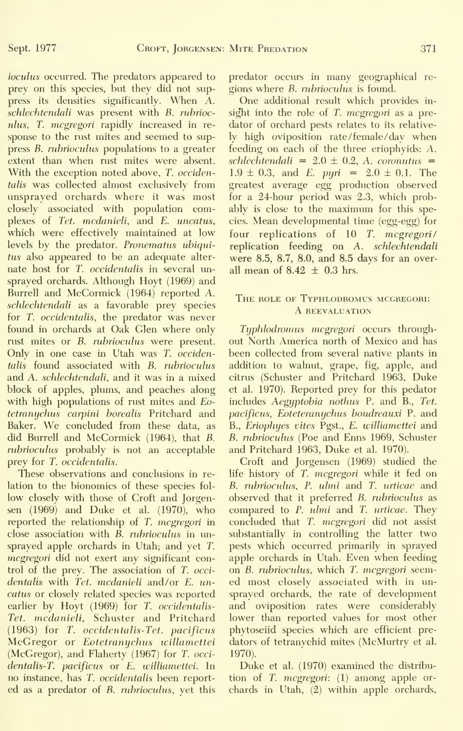ioculus occurred. The predators appeared to prey on this species, but they did not suppress its densities significantly. When A. schlechtendali was present with B. rubrioculus, T. mcgregori rapidly increased in response to the rust mites and seemed to suppress B. rubrioculus populations to a greater extent than when rust mites were absent. With the exception noted above, T. occidentalis was collected almost exclusively from unsprayed orchards where it was most closely associated with population complexes of Tet. mcdanieli, and E. uncatus, which were effectively maintained at low levels by the predator. Pronematus ubiquitus also appeared to be an adequate alter nate host for T. occidentalis in several unsprayed orchards. Although Hoyt (1969) and Burrell and McCormick (1964) reported A. schlechtendali as a favorable prey species for T. occidentalis, the predator was never found in orchards at Oak Glen where only rust mites or B. rubrioculus were present. Only in one case in Utah was T. occidentalis found associated with B. rubrioculus and A. schlechtendali, and it was in a mixed block of apples, plums, and peaches along with high populations of rust mites and Eotetramjchus carpini borealis Pritchard and Baker. We concluded from these data, as did Burrell and McCormick (1964), that B. rubrioculus probably is not an acceptable prey for T. occidentalis.

These observations and conclusions in re lation to the bionomics of these species fol low closely with those of Croft and Jorgensen (1969) and Duke et al. (1970), who reported the relationship of T. mcgregori in close association with B. rubrioculus in un sprayed apple orchards in Utah; and yet T. mcgregori did not exert any significant control of the prey. The association of T. occi dentalis with Tet. mcdanieli and/or E. uncatus or closely related species was reported earlier by Hoyt (1969) for T. occidentalis-Tet. mcdanieli, Schuster and Pritchard (1963) for T. occidentalis-Tet. pacificus McGregor or Eotetranychus willamettei (McGregor), and Flaherty (1967) for T. occi dentalis-T. pacificus or E. williamettei. In no instance, has T. occidentalis been report ed as a predator of B. rubrioculus, yet this predator occurs in many geographical re gions where B. rubrioculus is found.

One additional result which provides in sight into the role of T. mcgregori as a predator of orchard pests relates to its relatively high oviposition rate /female /day when feeding on each of the three eriophyids: A. schlechtendali =  $2.0 \pm 0.2$ , A. coronutus =  $1.9 \pm 0.3$ , and E. puri =  $2.0 \pm 0.1$ . The greatest average egg production observed for a 24-hour period was 2.3, which probably is close to the maximum for this species. Mean developmental time (egg-egg) for four replications of 10 T. mcgregori/ replication feeding on A. schlechtendali were 8.5, 8.7, 8.0, and 8.5 days for an overall mean of  $8.42 \pm 0.3$  hrs.

#### THE ROLE OF TYPHLODROMUS MCGREGORI: a reevaluation

Typhlodromus mcgregori occurs throughout North America north of Mexico and has been collected from several native plants in addition to walnut, grape, fig, apple, and citrus (Schuster and Pritchard 1963, Duke et al. 1970). Reported prey for this pedator includes Aegyptobia nothus P. and B., Tet. pacificus, Eoteteranychus boudreauxi P. and B., Eriophyes vites Pgst., E. williamettei and B. rubrioculus (Poe and Enns 1969, Schuster and Pritchard 1963, Duke et al. 1970).

Croft and Jorgensen (1969) studied the life history of T. mcgregori while it fed on B. rubrioculus, P. ulmi and T. urticae and observed that it preferred B. rubrioculus as compared to P. ulmi and T. urticae. They concluded that T. mcgregori did not assist substantially in controlling the latter two pests which occurred primarily in sprayed apple orchards in Utah. Even when feeding on B. rubrioculus, which T. mcgregori seemed most closely associated with in un sprayed orchards, the rate of development and oviposition rates were considerably lower than reported values for most other phytoseiid species which are efficient pre dators of tetranychid mites (McMurtry et al. 1970).

Duke et al. (1970) examined the distribu tion of T. mcgregori: (1) among apple or chards in Utah, (2) within apple orchards,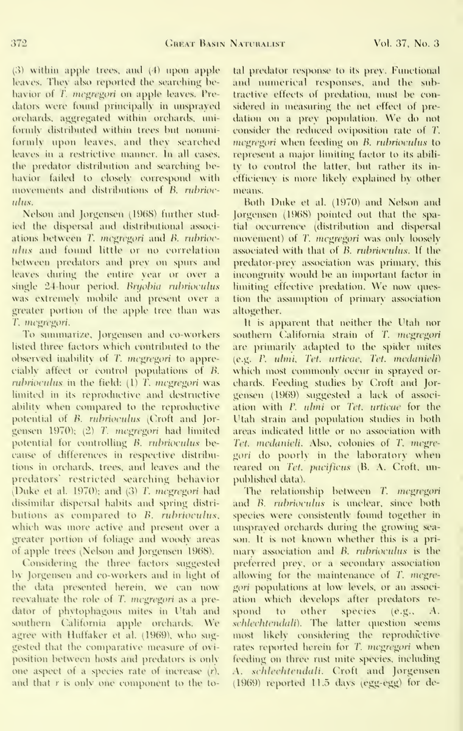(3) within apple trees, and (4) upon apple leaves. They also reported the searching behavior of *F. megregori* on apple leaves. Predators were found principally in unsprayed orchards, aggregated within orchards, uniformly distributed within trees but nommiformly upon leaves, and they searched leaves in a restrictive manner, In all cases, the predator distribution and searching behavior failed to closely correspond with movements and distributions of B. rubrioculus.

Nelson and Jorgensen (1968) further studied the dispersal and distributional associations between T. megregori and B. rubrioculus and found little or no correlation between predators and prev on spurs and leaves during the entire vear or over a single 24-hour period. Bryobia rubrioculus was extremely mobile and present over a greater portion of the apple tree than was T. megregori.

To summarize, Jorgensen and co-workers listed three factors which contributed to the observed inability of T. megregori to appreciably affect or control populations of B. rubrioculus in the field: (1) T. megregori was limited in its reproductive and destructive ability when compared to the reproductive potential of B. rubrioculus (Croft and Jorgensen 1970); (2) T. megregori had limited potential for controlling B. rubrioculus because of differences in respective distributions in orchards, trees, and leaves and the predators' restricted searching behavior (Duke et al. 1970); and (3) T. megregori had dissimilar dispersal habits and spring distributions as compared to B. rubrioculus, which was more active and present over a greater portion of foliage and woody areas of apple trees (Nelson and Jorgensen 1968).

Considering the three factors suggested by Jorgensen and co-workers and in light of the data presented herein, we can now reevaluate the role of T. megregori as a predator of phytophagous mites in Utah and southern California apple orchards. We agree with Huffaker et al. (1969), who suggested that the comparative measure of oviposition between hosts and predators is only one aspect of a species rate of increase (r), and that r is only one component to the total predator response to its prey. Functional and numerical responses, and the subtractive effects of predation, must be considered in measuring the net effect of predation on a prev population. We do not consider the reduced oviposition rate of T. incgregori when feeding on B, rubrioculus to represent a major limiting factor to its ability to control the latter, but rather its inefficiency is more likely explained by other means.

Both Duke et al. (1970) and Nelson and Jorgensen (1968) pointed out that the spatial occurrence (distribution and dispersal movement) of T. megregori was only loosely associated with that of B. rubrioculus. If the predator-prev association was primary, this incongruity would be an important factor in limiting effective predation. We now question the assumption of primary association altogether.

It is apparent that neither the Utah nor southern California strain of T. megregori are primarily adapted to the spider mites (e.g. P. ulmi, Tet. urticae, Tet. medanieli) which most commonly occur in sprayed orchards. Feeding studies by Croft and Jorgensen (1969) suggested a lack of association with P. ulmi or Tet. urticae for the Utah strain and population studies in both areas indicated little or no association with Tet. medanieli. Also, colonies of T. megregori do poorly in the laboratory when reared on Tet. pacificus (B. A. Croft, unpublished data).

The relationship between T. megregori and B. rubrioculus is unclear, since both species were consistently found together in unsprayed orchards during the growing season. It is not known whether this is a primary association and B, rubrioculus is the preferred prev, or a secondary association allowing for the maintenance of T. megregori populations at low levels, or an association which develops after predators respond to other species (e.g., A. schlechtendali). The latter question seems most likely considering the reproductive rates reported herein for T. megregori when feeding on three rust mite species, including A. schlechtendali. Croft and Jorgensen (1969) reported 11.5 days (egg-egg) for de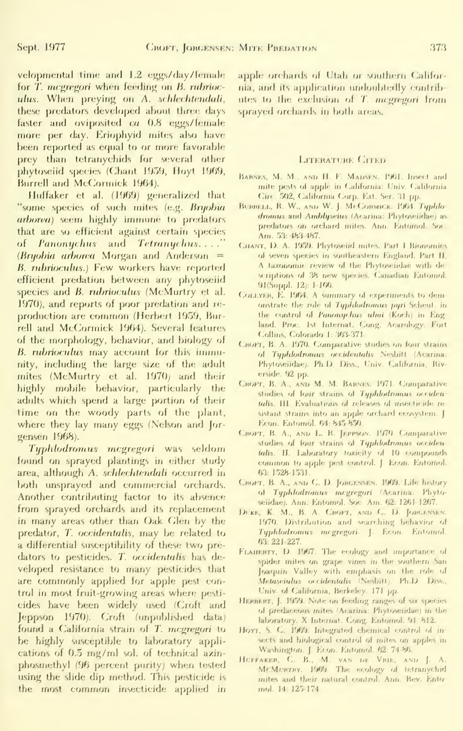velopmental time and 1.2 eggs/day/female for T. megregori when feeding on B. rubrioculus. When preying on A. schlechtendali, these predators developed about three days faster and oviposited ca 0.8 eggs/female more per day. Eriophyid mites also have been reported as equal to or more favorable prey than tetranychids for several other phytoseiid species (Chant 1959, Hoyt 1969, Burrell and McCormick 1964).

Huffaker et al. (1969) generalized that "some species of such mites (e.g. Bryobia arborea) seem highly immune to predators that are so efficient against certain species of Panonychus and Tetranychus....' (Bryobia arborea Morgan and Anderson  $=$ B. rubrioculus.) Few workers have reported efficient predation between any phytoseiid species and B. rubrioculus (McMurtry et al. 1970), and reports of poor predation and reproduction are common (Herbert 1959, Burrell and McCormick 1964). Several features of the morphology, behavior, and biology of B. rubrioculus may account for this immunity, including the large size of the adult mites (McMurtry et al. 1970) and their highly mobile behavior, particularly the adults which spend a large portion of their time on the woody parts of the plant, where they lay many eggs (Nelson and Jorgensen 1968).

Typhlodromus megregori was seldom found on sprayed plantings in either study area, although A. schlechtendali occurred in both unsprayed and commercial orchards. Another contributing factor to its absence from sprayed orchards and its replacement in many areas other than Oak Glen by the predator, T. occidentalis, may be related to a differential susceptibility of these two predators to pesticides. T. occidentalis has developed resistance to many pesticides that are commonly applied for apple pest control in most fruit-growing areas where pesticides have been widely used (Croft and Jeppson 1970). Croft (unpublished data) found a California strain of T. megregori to be highly susceptible to laboratory applications of 0.5 mg/ml sol. of technical azinphosmethyl (96 percent purity) when tested using the slide dip method. This pesticide is the most common insecticide applied in

apple orchards of Utah or southern California, and its application undoubtedly contributes to the exclusion of T. *nicgregori* from sprayed orchards in hoth areas.

#### **LITERATURE CITED**

- BARNES, M. M., AND H. F. MADSEN. 1961. Insect and mite pests of apple in California: Univ. California Circ. 502, California Corp. Ext. Ser. 31 pp.
- BURGELL, R. W., AND W. J. McCORMICK. 1964. Typhlodromus and Amblyseius (Acarina: Phytoseiidae) as predators on orchard mites. Ann. Entomol. Soc. Am. 53: 483-487.
- CHANT, D. A. 1959. Phytoseiid mites. Part I Bionomies of seven species in southeastern England. Part II, A taxonomic review of the Phytoseiidae with descriptions of 38 new species. Canadian Entomol. 91(Suppl. 12): 1-166.
- COLLYER, E. 1964. A summary of experiments to demonstrate the role of Typhlodromus pyri Scheut. in the control of Panonychus ulmi (Koch) in England, Proc. 1st Internat, Cong. Acarology, Fort Collins, Colorado 1: 363-371
- CROFT, B. A. 1970. Comparative studies on four strains of Typhlodromus occidentalis Neshitt (Acarina: Phytoseiidae). Ph.D. Diss., Univ. California, Riverside. 92 pp.
- CROFT, B. A., AND M. M. BARNES, 1971. Comparative studies of four strains of Typhlodromus occidentalis. III. Evaluations of releases of insecticide resistant strains into an apple orchard ecosystem. J Econ. Entomol. 64: 845-850.
- CROFT, B. A., AND L. R. JEPPSON. 1970. Comparative studies of four strains of Typhlodromus occidentalis. H. Laboratory toxicity of 10 compounds common to apple pest control. J. Econ. Entomol. 63: 1528-1531
- CROFT, B. A., AND C. D. JORGENSEN. 1969. Life history of Typhlodromus racgregori (Acarina. Phytoseiidae). Ann. Entomol. Soc. Am. 62: 1261-1267.
- DURE, K. M., B. A. CROPT, AND C. D. JORGENSEN. 1970. Distribution and searching behavior of Typhlodromus megregori. J. Econ. Entomol. 63: 221-227.
- FLAHERTY, D. 1967. The ecology and importance of spider mites on grape vines in the southern San Joaquin Valley with emphasis on the role of Metasciulus occidentalis (Nesbitt). Ph.D Diss., Univ. of California, Berkeley. 171 pp.
- HERBERT, J. 1959. Note on feeding ranges of six species of predaceous mites (Acarina: Phytoseridae) in the laboratory. X Internat. Cong. Entomol. 91-812.
- Hoyr, S. C. 1969. Integrated chemical control of insects and hiological control of mites on apples in Washington. J. Econ. Entomol. 62: 74-86.
- HUFFAKER, C. B., M. VAN DE VEIE, AND J. A. McMCRTRY. 1969. The ecology of tetranychid mites and their natural control. Ann. Rev. Ento. mol. 14: 125-174